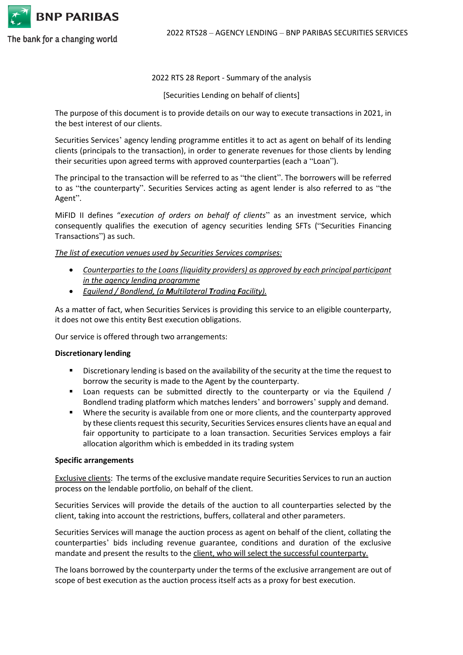

2022 RTS28 – AGENCY LENDING – BNP PARIBAS SECURITIES SERVICES

The bank for a changing world

#### 2022 RTS 28 Report - Summary of the analysis

[Securities Lending on behalf of clients]

The purpose of this document is to provide details on our way to execute transactions in 2021, in the best interest of our clients.

Securities Services' agency lending programme entitles it to act as agent on behalf of its lending clients (principals to the transaction), in order to generate revenues for those clients by lending their securities upon agreed terms with approved counterparties (each a "Loan").

The principal to the transaction will be referred to as "the client". The borrowers will be referred to as "the counterparty". Securities Services acting as agent lender is also referred to as "the Agent".

MiFID II defines "*execution of orders on behalf of clients*" as an investment service, which consequently qualifies the execution of agency securities lending SFTs ("Securities Financing Transactions") as such.

*The list of execution venues used by Securities Services comprises:*

- *Counterparties to the Loans (liquidity providers) as approved by each principal participant in the agency lending programme*
- *Equilend / Bondlend, (a Multilateral Trading Facility).*

As a matter of fact, when Securities Services is providing this service to an eligible counterparty, it does not owe this entity Best execution obligations.

Our service is offered through two arrangements:

## **Discretionary lending**

- **EXECT** Discretionary lending is based on the availability of the security at the time the request to borrow the security is made to the Agent by the counterparty.
- Loan requests can be submitted directly to the counterparty or via the Equilend / Bondlend trading platform which matches lenders' and borrowers' supply and demand.
- Where the security is available from one or more clients, and the counterparty approved by these clients request this security, Securities Services ensures clients have an equal and fair opportunity to participate to a loan transaction. Securities Services employs a fair allocation algorithm which is embedded in its trading system

#### **Specific arrangements**

Exclusive clients: The terms of the exclusive mandate require Securities Services to run an auction process on the lendable portfolio, on behalf of the client.

Securities Services will provide the details of the auction to all counterparties selected by the client, taking into account the restrictions, buffers, collateral and other parameters.

Securities Services will manage the auction process as agent on behalf of the client, collating the counterparties' bids including revenue guarantee, conditions and duration of the exclusive mandate and present the results to the client, who will select the successful counterparty.

The loans borrowed by the counterparty under the terms of the exclusive arrangement are out of scope of best execution as the auction process itself acts as a proxy for best execution.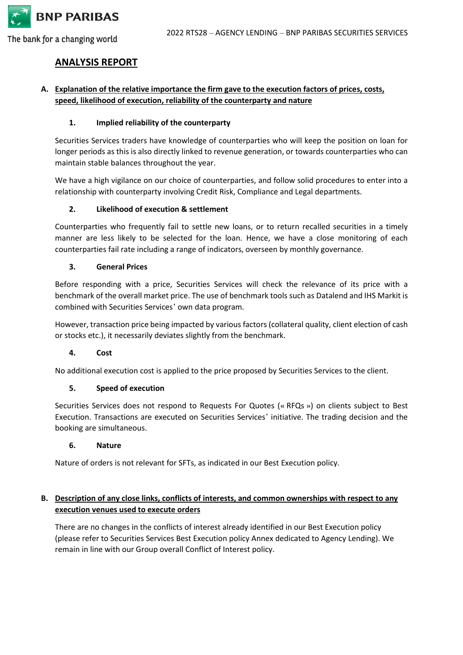

The bank for a changing world

# **ANALYSIS REPORT**

# **A. Explanation of the relative importance the firm gave to the execution factors of prices, costs, speed, likelihood of execution, reliability of the counterparty and nature**

## **1. Implied reliability of the counterparty**

Securities Services traders have knowledge of counterparties who will keep the position on loan for longer periods as this is also directly linked to revenue generation, or towards counterparties who can maintain stable balances throughout the year.

We have a high vigilance on our choice of counterparties, and follow solid procedures to enter into a relationship with counterparty involving Credit Risk, Compliance and Legal departments.

## **2. Likelihood of execution & settlement**

Counterparties who frequently fail to settle new loans, or to return recalled securities in a timely manner are less likely to be selected for the loan. Hence, we have a close monitoring of each counterparties fail rate including a range of indicators, overseen by monthly governance.

## **3. General Prices**

Before responding with a price, Securities Services will check the relevance of its price with a benchmark of the overall market price. The use of benchmark tools such as Datalend and IHS Markit is combined with Securities Services' own data program.

However, transaction price being impacted by various factors (collateral quality, client election of cash or stocks etc.), it necessarily deviates slightly from the benchmark.

## **4. Cost**

No additional execution cost is applied to the price proposed by Securities Services to the client.

## **5. Speed of execution**

Securities Services does not respond to Requests For Quotes (« RFQs ») on clients subject to Best Execution. Transactions are executed on Securities Services' initiative. The trading decision and the booking are simultaneous.

## **6. Nature**

Nature of orders is not relevant for SFTs, as indicated in our Best Execution policy.

# **B. Description of any close links, conflicts of interests, and common ownerships with respect to any execution venues used to execute orders**

There are no changes in the conflicts of interest already identified in our Best Execution policy (please refer to Securities Services Best Execution policy Annex dedicated to Agency Lending). We remain in line with our Group overall Conflict of Interest policy.